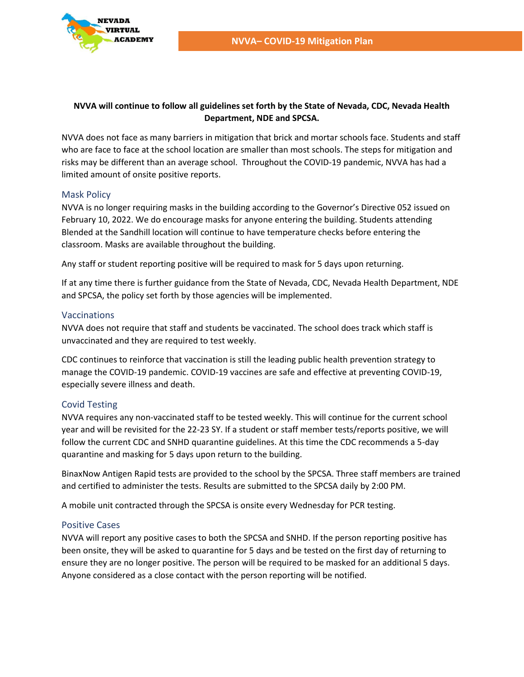

### **NVVA will continue to follow all guidelines set forth by the State of Nevada, CDC, Nevada Health Department, NDE and SPCSA.**

NVVA does not face as many barriers in mitigation that brick and mortar schools face. Students and staff who are face to face at the school location are smaller than most schools. The steps for mitigation and risks may be different than an average school. Throughout the COVID-19 pandemic, NVVA has had a limited amount of onsite positive reports.

## Mask Policy

NVVA is no longer requiring masks in the building according to the Governor's Directive 052 issued on February 10, 2022. We do encourage masks for anyone entering the building. Students attending Blended at the Sandhill location will continue to have temperature checks before entering the classroom. Masks are available throughout the building.

Any staff or student reporting positive will be required to mask for 5 days upon returning.

If at any time there is further guidance from the State of Nevada, CDC, Nevada Health Department, NDE and SPCSA, the policy set forth by those agencies will be implemented.

## Vaccinations

NVVA does not require that staff and students be vaccinated. The school does track which staff is unvaccinated and they are required to test weekly.

CDC continues to reinforce that vaccination is still the leading public health prevention strategy to manage the COVID-19 pandemic. COVID-19 vaccines are safe and effective at preventing COVID-19, especially severe illness and death.

## Covid Testing

NVVA requires any non-vaccinated staff to be tested weekly. This will continue for the current school year and will be revisited for the 22-23 SY. If a student or staff member tests/reports positive, we will follow the current CDC and SNHD quarantine guidelines. At this time the CDC recommends a 5-day quarantine and masking for 5 days upon return to the building.

BinaxNow Antigen Rapid tests are provided to the school by the SPCSA. Three staff members are trained and certified to administer the tests. Results are submitted to the SPCSA daily by 2:00 PM.

A mobile unit contracted through the SPCSA is onsite every Wednesday for PCR testing.

#### Positive Cases

NVVA will report any positive cases to both the SPCSA and SNHD. If the person reporting positive has been onsite, they will be asked to quarantine for 5 days and be tested on the first day of returning to ensure they are no longer positive. The person will be required to be masked for an additional 5 days. Anyone considered as a close contact with the person reporting will be notified.